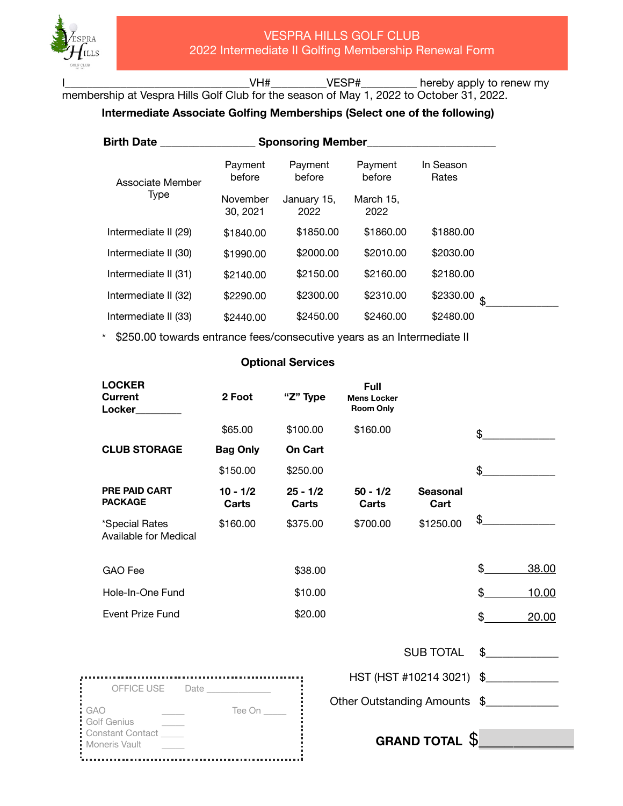$\blacksquare$  Moneris Vault

See a

I\_\_\_\_\_\_\_\_\_\_\_\_\_\_\_\_\_\_\_\_\_\_\_\_\_\_\_\_\_\_\_\_\_VH#\_\_\_\_\_\_\_\_\_\_VESP#\_\_\_\_\_\_\_\_\_\_ hereby apply to renew my membership at Vespra Hills Golf Club for the season of May 1, 2022 to October 31, 2022.

## **Intermediate Associate Golfing Memberships (Select one of the following)**

| <b>Birth Date</b>        | <b>Sponsoring Member</b> |                     |                   |                    |
|--------------------------|--------------------------|---------------------|-------------------|--------------------|
| Associate Member<br>Type | Payment<br>before        | Payment<br>before   | Payment<br>before | In Season<br>Rates |
|                          | November<br>30, 2021     | January 15,<br>2022 | March 15,<br>2022 |                    |
| Intermediate II (29)     | \$1840.00                | \$1850.00           | \$1860.00         | \$1880.00          |
| Intermediate II (30)     | \$1990.00                | \$2000.00           | \$2010.00         | \$2030.00          |
| Intermediate II (31)     | \$2140.00                | \$2150.00           | \$2160.00         | \$2180.00          |
| Intermediate II (32)     | \$2290.00                | \$2300.00           | \$2310.00         | \$2330.00<br>\$    |
| Intermediate II (33)     | \$2440.00                | \$2450.00           | \$2460.00         | \$2480.00          |

\* \$250.00 towards entrance fees/consecutive years as an Intermediate II

## **Optional Services**

| <b>LOCKER</b><br><b>Current</b><br>Locker      | 2 Foot                     | "Z" Type            | <b>Full</b><br><b>Mens Locker</b><br><b>Room Only</b> |                                      |                |              |
|------------------------------------------------|----------------------------|---------------------|-------------------------------------------------------|--------------------------------------|----------------|--------------|
|                                                | \$65.00                    | \$100.00            | \$160.00                                              |                                      | \$             |              |
| <b>CLUB STORAGE</b>                            | <b>Bag Only</b>            | <b>On Cart</b>      |                                                       |                                      |                |              |
|                                                | \$150.00                   | \$250.00            |                                                       |                                      | \$             |              |
| <b>PRE PAID CART</b><br><b>PACKAGE</b>         | $10 - 1/2$<br><b>Carts</b> | $25 - 1/2$<br>Carts | $50 - 1/2$<br>Carts                                   | <b>Seasonal</b><br>Cart              |                |              |
| *Special Rates<br><b>Available for Medical</b> | \$160.00                   | \$375.00            | \$700.00                                              | \$1250.00                            | \$             |              |
| <b>GAO</b> Fee                                 |                            | \$38.00             |                                                       |                                      | \$             | 38.00        |
| Hole-In-One Fund                               |                            | \$10.00             |                                                       |                                      | $\mathfrak{L}$ | 10.00        |
| <b>Event Prize Fund</b>                        |                            | \$20.00             |                                                       |                                      | $\mathfrak{S}$ | 20.00        |
|                                                |                            |                     |                                                       | <b>SUB TOTAL</b>                     |                | $\mathbb{S}$ |
|                                                |                            |                     |                                                       | HST (HST #10214 3021) \$____________ |                |              |
| OFFICE USE<br><b>GAO</b><br>Golf Genius        | Tee On                     |                     | Other Outstanding Amounts \$                          |                                      |                |              |
| <b>Constant Contact</b><br>Moneris Vault       |                            |                     |                                                       | <b>GRAND TOTAL</b>                   | S              |              |